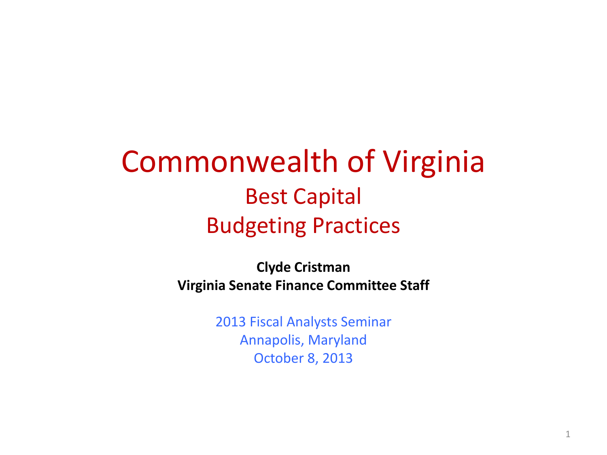### Commonwealth of Virginia Best Capital Budgeting Practices

**Clyde Cristman Virginia Senate Finance Committee Staff**

> 2013 Fiscal Analysts Seminar Annapolis, Maryland October 8, 2013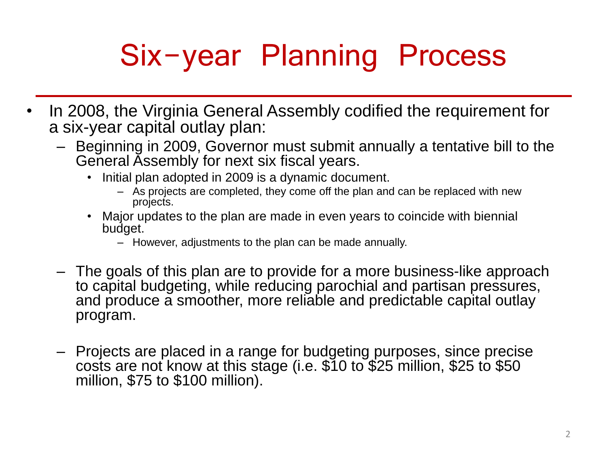# Six-year Planning Process

- In 2008, the Virginia General Assembly codified the requirement for a six-year capital outlay plan:
	- Beginning in 2009, Governor must submit annually a tentative bill to the General Assembly for next six fiscal years.
		- Initial plan adopted in 2009 is a dynamic document.
			- As projects are completed, they come off the plan and can be replaced with new projects.
		- Major updates to the plan are made in even years to coincide with biennial budget.
			- However, adjustments to the plan can be made annually.
	- The goals of this plan are to provide for a more business-like approach to capital budgeting, while reducing parochial and partisan pressures, and produce a smoother, more reliable and predictable capital outlay program.
	- Projects are placed in a range for budgeting purposes, since precise costs are not know at this stage (i.e. \$10 to \$25 million, \$25 to \$50 million, \$75 to \$100 million).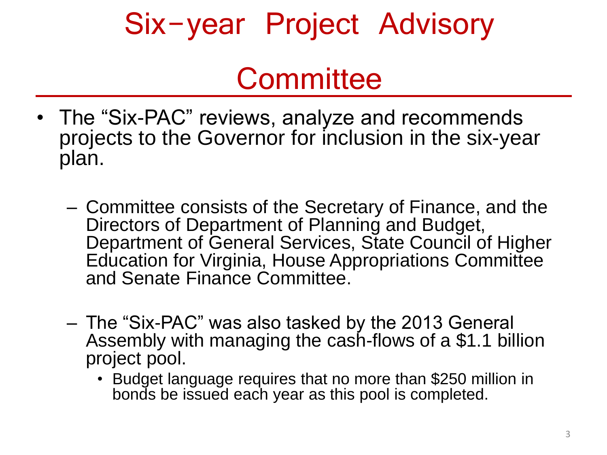### Six-year Project Advisory

### **Committee**

- The "Six-PAC" reviews, analyze and recommends projects to the Governor for inclusion in the six-year plan.
	- Committee consists of the Secretary of Finance, and the Directors of Department of Planning and Budget, Department of General Services, State Council of Higher Education for Virginia, House Appropriations Committee and Senate Finance Committee.
	- The "Six-PAC" was also tasked by the 2013 General Assembly with managing the cash-flows of a \$1.1 billion project pool.
		- Budget language requires that no more than \$250 million in bonds be issued each year as this pool is completed.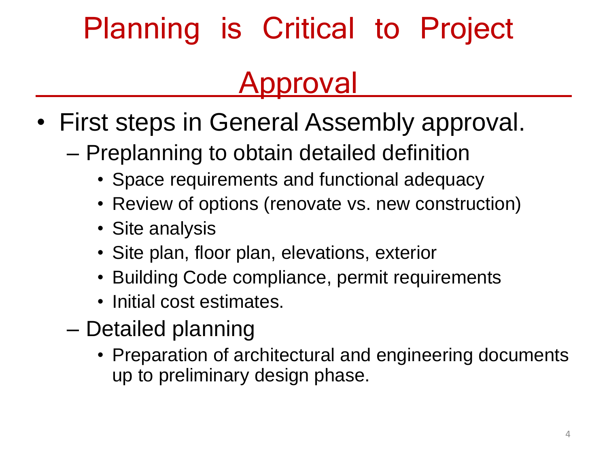# Planning is Critical to Project

### Approval

- First steps in General Assembly approval.
	- Preplanning to obtain detailed definition
		- Space requirements and functional adequacy
		- Review of options (renovate vs. new construction)
		- Site analysis
		- Site plan, floor plan, elevations, exterior
		- Building Code compliance, permit requirements
		- Initial cost estimates.
	- Detailed planning
		- Preparation of architectural and engineering documents up to preliminary design phase.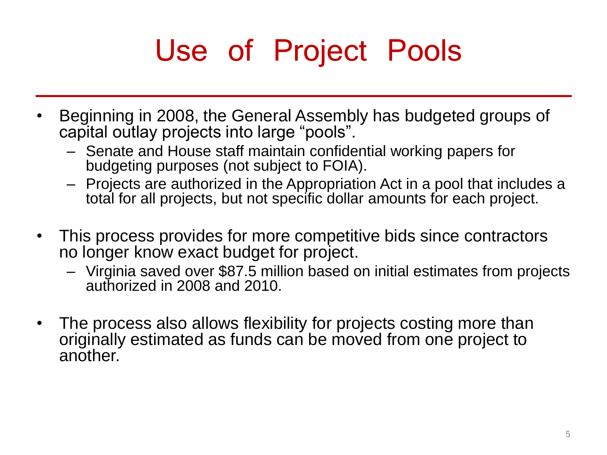# Use of Project Pools

- Beginning in 2008, the General Assembly has budgeted groups of capital outlay projects into large "pools".
	- Senate and House staff maintain confidential working papers for budgeting purposes (not subject to FOIA).
	- Projects are authorized in the Appropriation Act in a pool that includes a total for all projects, but not specific dollar amounts for each project.
- This process provides for more competitive bids since contractors no longer know exact budget for project.
	- Virginia saved over \$87.5 million based on initial estimates from projects authorized in 2008 and 2010.
- The process also allows flexibility for projects costing more than originally estimated as funds can be moved from one project to another.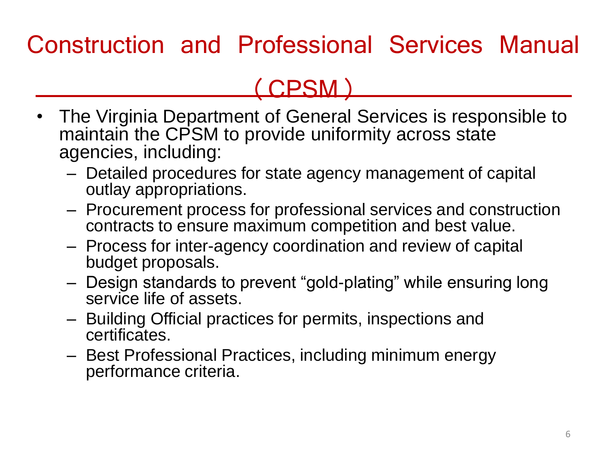#### Construction and Professional Services Manual

#### (CPSM)

- The Virginia Department of General Services is responsible to maintain the CPSM to provide uniformity across state agencies, including:
	- Detailed procedures for state agency management of capital outlay appropriations.
	- Procurement process for professional services and construction contracts to ensure maximum competition and best value.
	- Process for inter-agency coordination and review of capital budget proposals.
	- Design standards to prevent "gold-plating" while ensuring long service life of assets.
	- Building Official practices for permits, inspections and certificates.
	- Best Professional Practices, including minimum energy performance criteria.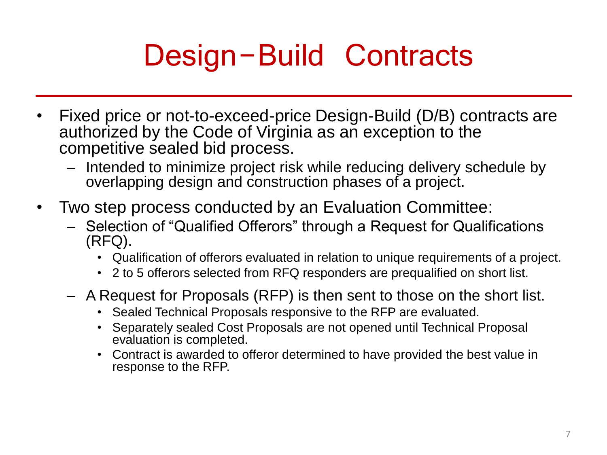# Design-Build Contracts

- Fixed price or not-to-exceed-price Design-Build (D/B) contracts are authorized by the Code of Virginia as an exception to the competitive sealed bid process.
	- Intended to minimize project risk while reducing delivery schedule by overlapping design and construction phases of a project.
- Two step process conducted by an Evaluation Committee:
	- Selection of "Qualified Offerors" through a Request for Qualifications (RFQ).
		- Qualification of offerors evaluated in relation to unique requirements of a project.
		- 2 to 5 offerors selected from RFQ responders are prequalified on short list.
	- A Request for Proposals (RFP) is then sent to those on the short list.
		- Sealed Technical Proposals responsive to the RFP are evaluated.
		- Separately sealed Cost Proposals are not opened until Technical Proposal evaluation is completed.
		- Contract is awarded to offeror determined to have provided the best value in response to the RFP.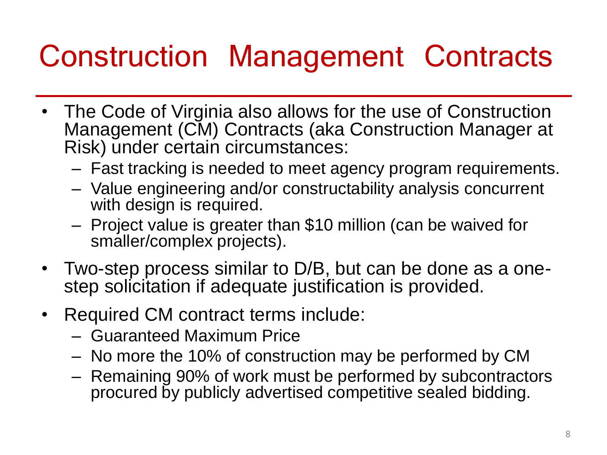## Construction Management Contracts

- The Code of Virginia also allows for the use of Construction Management (CM) Contracts (aka Construction Manager at Risk) under certain circumstances:
	- Fast tracking is needed to meet agency program requirements.
	- Value engineering and/or constructability analysis concurrent with design is required.
	- Project value is greater than \$10 million (can be waived for smaller/complex projects).
- Two-step process similar to D/B, but can be done as a onestep solicitation if adequate justification is provided.
- Required CM contract terms include:
	- Guaranteed Maximum Price
	- No more the 10% of construction may be performed by CM
	- Remaining 90% of work must be performed by subcontractors procured by publicly advertised competitive sealed bidding.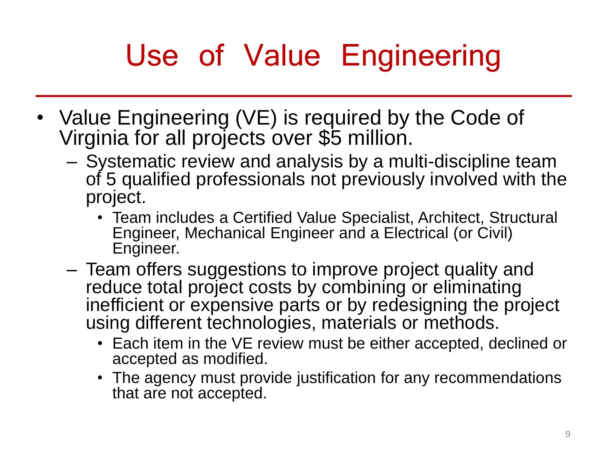# Use of Value Engineering

- Value Engineering (VE) is required by the Code of Virginia for all projects over \$5 million.
	- Systematic review and analysis by a multi-discipline team of 5 qualified professionals not previously involved with the project.
		- Team includes a Certified Value Specialist, Architect, Structural Engineer, Mechanical Engineer and a Electrical (or Civil) Engineer.
	- Team offers suggestions to improve project quality and reduce total project costs by combining or eliminating inefficient or expensive parts or by redesigning the project using different technologies, materials or methods.
		- Each item in the VE review must be either accepted, declined or accepted as modified.
		- The agency must provide justification for any recommendations that are not accepted.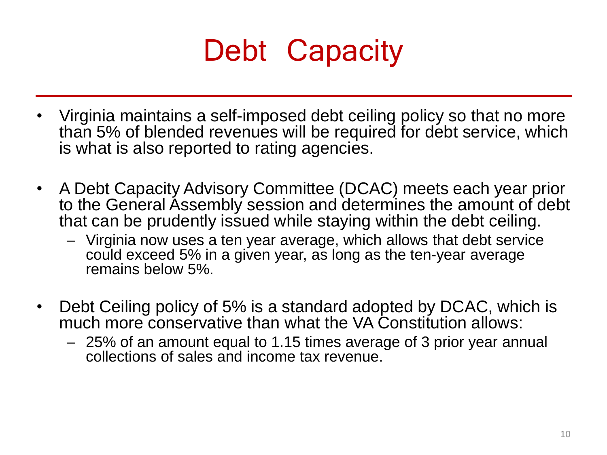

- Virginia maintains a self-imposed debt ceiling policy so that no more than 5% of blended revenues will be required for debt service, which is what is also reported to rating agencies.
- A Debt Capacity Advisory Committee (DCAC) meets each year prior to the General Assembly session and determines the amount of debt that can be prudently issued while staying within the debt ceiling.
	- Virginia now uses a ten year average, which allows that debt service could exceed 5% in a given year, as long as the ten-year average remains below 5%.
- Debt Ceiling policy of 5% is a standard adopted by DCAC, which is much more conservative than what the VA Constitution allows:
	- 25% of an amount equal to 1.15 times average of 3 prior year annual collections of sales and income tax revenue.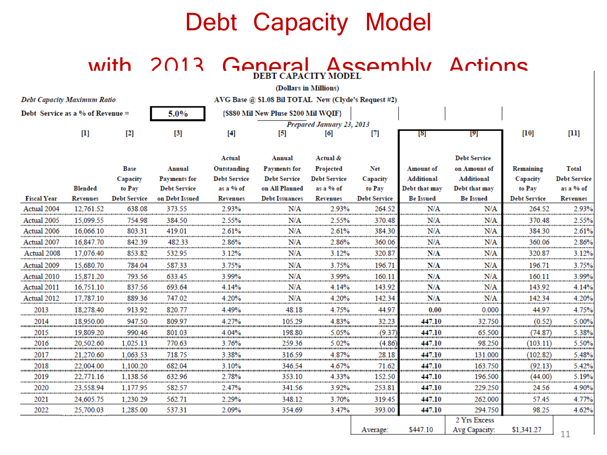#### Debt Capacity Model

#### with 2013 General Assembly Actions

| (Dollars in Millions)              |                                   |                     |                     |                           |                                                      |                      |                     |                  |                              |                     |                     |
|------------------------------------|-----------------------------------|---------------------|---------------------|---------------------------|------------------------------------------------------|----------------------|---------------------|------------------|------------------------------|---------------------|---------------------|
| <b>Debt Capacity Maximum Ratio</b> |                                   |                     |                     |                           | AVG Base @ \$1.08 Bil TOTAL New (Clyde's Request #2) |                      |                     |                  |                              |                     |                     |
| Debt Service as a % of Revenue $=$ |                                   |                     | 5.0%                |                           | {\$880 Mil New Pluse \$200 Mil WQIF}                 |                      |                     |                  |                              |                     |                     |
|                                    |                                   |                     |                     | Prepared January 23, 2013 |                                                      |                      |                     |                  |                              |                     |                     |
|                                    | $\begin{bmatrix} 1 \end{bmatrix}$ | $[2]$               | $[3]$               | $[4]$                     | $\left[5\right]$                                     | [6]                  | $[7]$               | [8]              | [9]                          | [10]                | $[11]$              |
|                                    |                                   |                     |                     |                           |                                                      |                      |                     |                  |                              |                     |                     |
|                                    |                                   |                     |                     | Actual                    | Annual                                               | Actual &             |                     |                  | <b>Debt Service</b>          |                     |                     |
|                                    |                                   | Base                | Annual              | Outstanding               | <b>Payments for</b>                                  | Projected            | Net                 | Amount of        | on Amount of                 | Remaining           | <b>Total</b>        |
|                                    |                                   | Capacity            | <b>Payments for</b> | <b>Debt Service</b>       | <b>Debt Service</b>                                  | <b>Debt Service</b>  | Capacity            | Additional       | <b>Additional</b>            | Capacity            | <b>Debt Service</b> |
|                                    | Blended                           | to Pay              | <b>Debt Service</b> | as a % of                 | on All Planned                                       | as a % of            | to Pay              | Debt that may    | Debt that may                | to Pay              | as a % of           |
| <b>Fiscal Year</b>                 | Revenues                          | <b>Debt Service</b> | on Debt Issued      | Revenues                  | <b>Debt Issuances</b>                                | <b>Revenues</b>      | <b>Debt Service</b> | <b>Be Issued</b> | <b>Be Issued</b>             | <b>Debt Service</b> | <b>Revenues</b>     |
| Actual 2004                        | 12.761.52                         | 638.08              | 373.55              | 2.93%                     | N/A                                                  | 2.93%                | 264.52              | N/A              | N/A                          | 264.52              | 2.93%               |
| Actual 2005                        | 15,099.55                         | 754.98              | 384.50              | 2.55%                     | N/A                                                  | 2.55%                | 370.48              | N/A              | N/A                          | 370.48              | 2.55%               |
| Actual 2006                        | 16,066.10                         | 803.31              | 419.01              | 2.61%                     | N/A                                                  | 2.61%                | 384.30              | N/A              | N/A                          | 384.30              | 2.61%               |
| Actual 2007<br>                    | 16.847.70                         | 842.39<br>.         | 482.33              | 2.86%                     | N/A                                                  | 2.86%<br>            | 360.06<br>          | N/A              | N/A<br>                      | 360.06<br>          | 2.86%               |
| Actual 2008                        | 17,076.40                         | 853.82              | 532.95              | 3.12%                     | N/A                                                  | 3.12%                | 320.87              | N/A              | N/A                          | 320.87              | 3.12%               |
| Actual 2009                        | 15,680.70                         | 784.04              | 587.33              | 3.75%                     | N/A                                                  | 3.75%                | 196.71              | N/A              | N/A                          | 196.71              | 3.75%               |
| Actual 2010                        | 15,871.20                         | 793.56              | 633.45              | 3.99%                     | N/A                                                  | 3.99%                | 160.11              | N/A              | N/A                          | 160.11              | 3.99%               |
| Actual 2011                        | 16,751.10                         | 837.56              | 693.64              | 4.14%                     | N/A                                                  | 4.14%                | 143.92              | N/A              | N/A<br>                      | 143.92              | 4.14%               |
| Actual 2012                        | 17.787.10                         | 889.36              | 747.02              | 4.20%                     | N/A                                                  | 4.20%                | 142.34              | N/A              | N/A                          | 142.34              | 4.20%               |
| 2013                               | 18.278.40                         | 913.92              | 820.77              | 4.49%                     | 48.18                                                | 4.75%                | 44.97<br>           | 0.00             | 0.000                        | 44.97               | 4.75%               |
| 2014<br>                           | 18,950.00                         | 947.50<br>          | 809.97              | 4.27%                     | 105.29                                               | 4.83%                | 32.23               | 447.10           | 32.750                       | (0.52)              | $5.00\%$            |
| 2015<br>,,,,,,,,,,,,,,,,,          | 19,809.20                         | 990.46              | 801.03              | 4.04%                     | 198.80                                               | 5.05%                | (9.37)<br>mumu      | 447.10           | 65.500                       | (74.87)             | 5.38%               |
| 2016                               | 20.502.60                         | 1.025.13<br>        | 770.63              | 3.76%                     | 259.36                                               | 5.02%<br>,,,,,,,,,,, | (4.86)<br>.         | 447.10           | 98.250<br>,,,,,,,,,,,        | (103.11)<br>.<br>   | 5.50%<br>           |
| 2017<br>                           | 21,270.60<br>                     | 1,063.53<br>        | 718.75              | 3.38%<br>                 | 316.59<br>                                           | 4.87%                | 28.18<br>           | 447.10<br>       | 131.000<br>,,,,,,,,,,,,,,,,, | (102.82)            | 5.48%               |
| 2018<br>,,,,,,,,,,,,,,,,,          | 22,004.00                         | 1,100.20<br>        | 682.04              | 3.10%                     | 346.54                                               | 4.67%                | 71.62               | 447.10<br>       | 163.750                      | (92.13)             | 5.42%               |
| 2019<br>                           | 22,771.16                         | 1.138.56            | 632.96              | 2.78%                     | 353.10                                               | 4.33%                | 152.50              | 447.10           | 196.500                      | (44.00)<br>         | 5.19%               |
| 2020<br>                           | 23,558.94                         | 1,177.95            | 582.57              | 2.47%                     | 341.56                                               | 3.92%                | 253.81              | 447.10           | 229.250                      | 24.56               | 4.90%               |
| 2021                               | 24,605.75                         | 1.230.29            | 562.71              | 2.29%                     | 348.12                                               | 3.70%                | 319.45              | 447.10           | 262.000                      | 57.45               | 4.77%               |
| 2022                               | 25,700.03                         | 1,285.00            | 537.31              | 2.09%                     | 354.69                                               | 3.47%                | 393.00              | 447.10           | 294.750                      | 98.25               | 4.62%               |
|                                    |                                   |                     |                     |                           |                                                      |                      |                     |                  | 2 Yrs Excess                 |                     |                     |
|                                    |                                   |                     |                     |                           |                                                      |                      | Average:            | \$447.10         | Avg Capacity:                | \$1,341.27          | 11                  |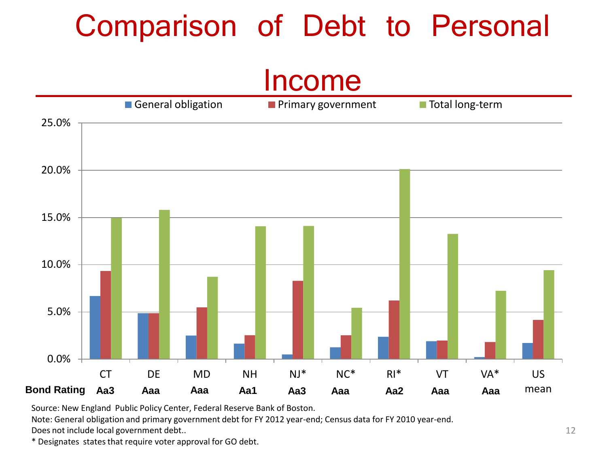## Comparison of Debt to Personal

#### Income



Source: New England Public Policy Center, Federal Reserve Bank of Boston.

Note: General obligation and primary government debt for FY 2012 year-end; Census data for FY 2010 year-end. Does not include local government debt..

\* Designates states that require voter approval for GO debt.